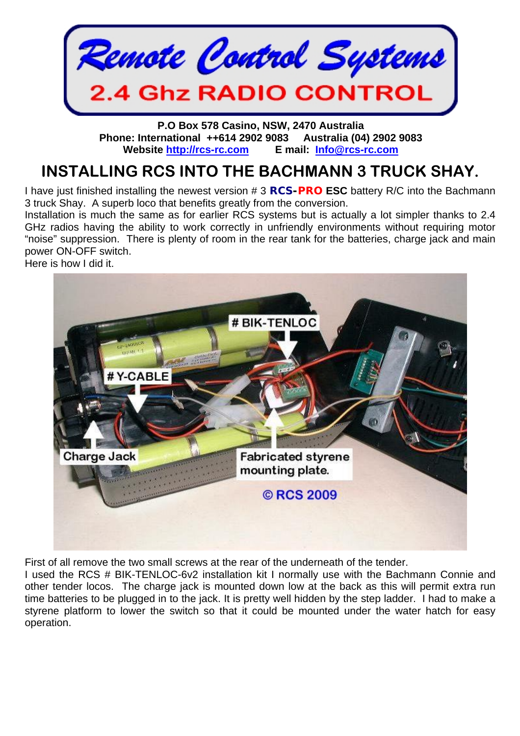

**P.O Box 578 Casino, NSW, 2470 Australia Phone: International ++614 2902 9083 Australia (04) 2902 9083 Website [http://rcs-rc.com](http://rcs-rc.com/) E mail: [Info@rcs-rc.com](mailto:Info@rcs-rc.com)**

## **INSTALLING RCS INTO THE BACHMANN 3 TRUCK SHAY.**

I have just finished installing the newest version # 3 *RCS-PRO* **ESC** battery R/C into the Bachmann 3 truck Shay. A superb loco that benefits greatly from the conversion.

Installation is much the same as for earlier RCS systems but is actually a lot simpler thanks to 2.4 GHz radios having the ability to work correctly in unfriendly environments without requiring motor "noise" suppression. There is plenty of room in the rear tank for the batteries, charge jack and main power ON-OFF switch.

Here is how I did it.



First of all remove the two small screws at the rear of the underneath of the tender.

I used the RCS # BIK-TENLOC-6v2 installation kit I normally use with the Bachmann Connie and other tender locos. The charge jack is mounted down low at the back as this will permit extra run time batteries to be plugged in to the jack. It is pretty well hidden by the step ladder. I had to make a styrene platform to lower the switch so that it could be mounted under the water hatch for easy operation.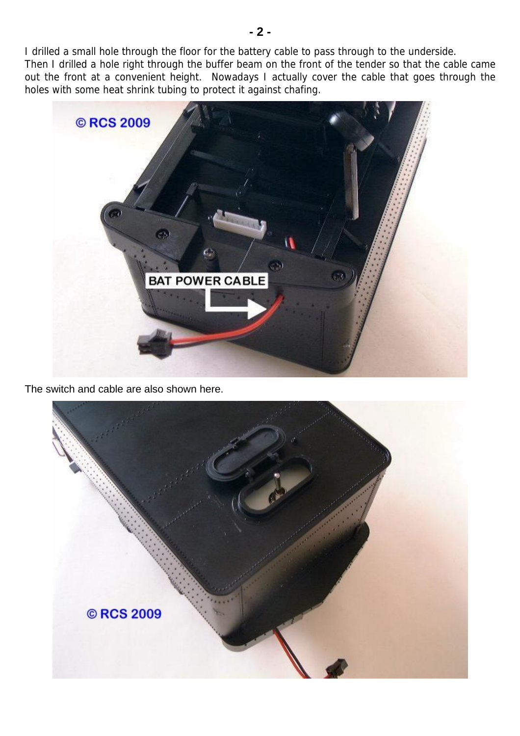I drilled a small hole through the floor for the battery cable to pass through to the underside. Then I drilled a hole right through the buffer beam on the front of the tender so that the cable came out the front at a convenient height. Nowadays I actually cover the cable that goes through the holes with some heat shrink tubing to protect it against chafing.



The switch and cable are also shown here.

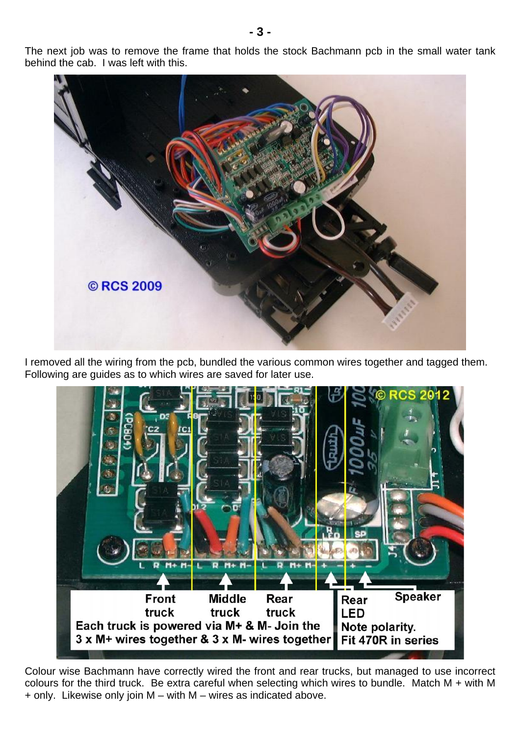The next job was to remove the frame that holds the stock Bachmann pcb in the small water tank behind the cab. I was left with this.



I removed all the wiring from the pcb, bundled the various common wires together and tagged them. Following are guides as to which wires are saved for later use.



Colour wise Bachmann have correctly wired the front and rear trucks, but managed to use incorrect colours for the third truck. Be extra careful when selecting which wires to bundle. Match M + with M + only. Likewise only join M – with M – wires as indicated above.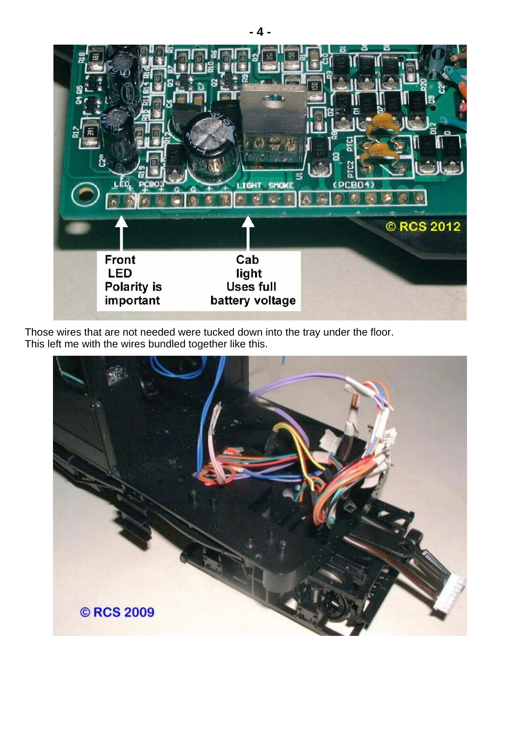

Those wires that are not needed were tucked down into the tray under the floor. This left me with the wires bundled together like this.

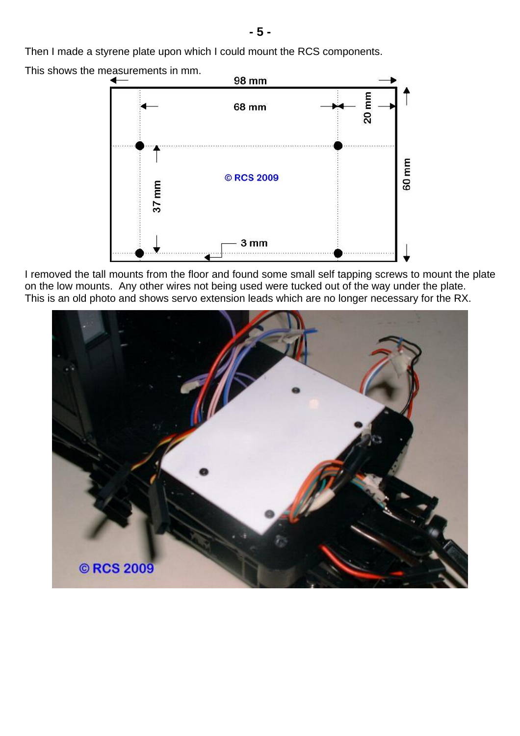Then I made a styrene plate upon which I could mount the RCS components.



I removed the tall mounts from the floor and found some small self tapping screws to mount the plate on the low mounts. Any other wires not being used were tucked out of the way under the plate. This is an old photo and shows servo extension leads which are no longer necessary for the RX.



**- 5 -**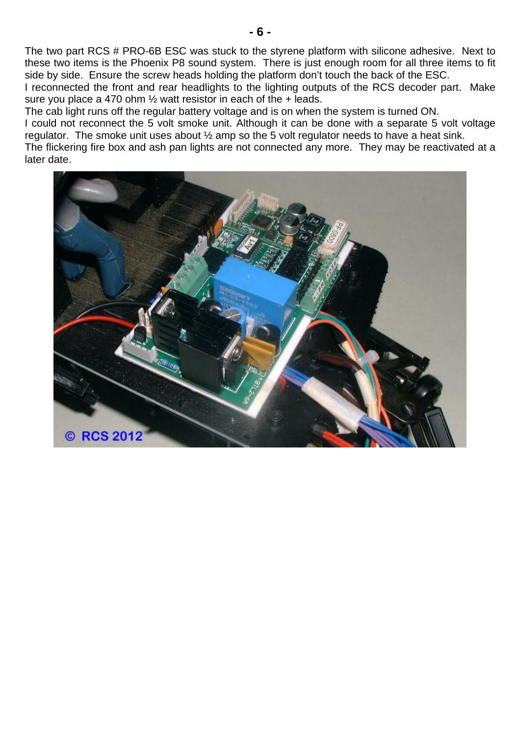The two part RCS # PRO-6B ESC was stuck to the styrene platform with silicone adhesive. Next to these two items is the Phoenix P8 sound system. There is just enough room for all three items to fit side by side. Ensure the screw heads holding the platform don't touch the back of the ESC.

I reconnected the front and rear headlights to the lighting outputs of the RCS decoder part. Make sure you place a 470 ohm ½ watt resistor in each of the + leads.

The cab light runs off the regular battery voltage and is on when the system is turned ON.

I could not reconnect the 5 volt smoke unit. Although it can be done with a separate 5 volt voltage regulator. The smoke unit uses about ½ amp so the 5 volt regulator needs to have a heat sink.

The flickering fire box and ash pan lights are not connected any more. They may be reactivated at a later date.

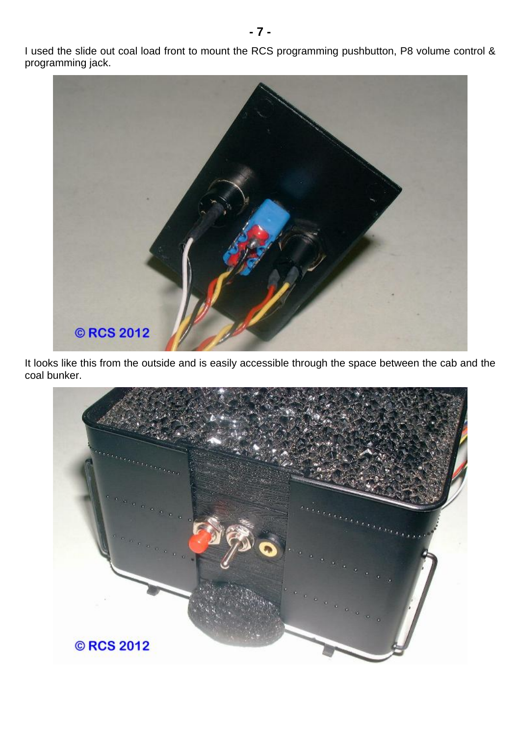I used the slide out coal load front to mount the RCS programming pushbutton, P8 volume control & programming jack.



It looks like this from the outside and is easily accessible through the space between the cab and the coal bunker.